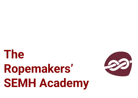# **The Ropemakers' SEMH Academy**

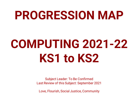### **PROGRESSION MAP**

## **COMPUTING 2021-22 KS1 to KS2**

Subject Leader: To Be Confirmed Last Review of this Subject: September 2021

Love, Flourish, Social Justice, Community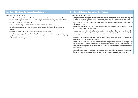| <b>Key Stage 1 National Curriculum Expectations</b>                                                                                                                                                                                                                                                                                                                                                                                                                                                                                                                                                                                                                                                                           | <b>Key Stage 2 National Curriculum Expectations</b>                                                                                                                                                                                                                                                                                                                                                                                                                                                                                                                                                                                                                                                                                                                                                                                                                                                                                                                                                                                                                                                                                                                                                                                                                                                         |
|-------------------------------------------------------------------------------------------------------------------------------------------------------------------------------------------------------------------------------------------------------------------------------------------------------------------------------------------------------------------------------------------------------------------------------------------------------------------------------------------------------------------------------------------------------------------------------------------------------------------------------------------------------------------------------------------------------------------------------|-------------------------------------------------------------------------------------------------------------------------------------------------------------------------------------------------------------------------------------------------------------------------------------------------------------------------------------------------------------------------------------------------------------------------------------------------------------------------------------------------------------------------------------------------------------------------------------------------------------------------------------------------------------------------------------------------------------------------------------------------------------------------------------------------------------------------------------------------------------------------------------------------------------------------------------------------------------------------------------------------------------------------------------------------------------------------------------------------------------------------------------------------------------------------------------------------------------------------------------------------------------------------------------------------------------|
| Pupils should be taught to:<br>understand what algorithms are; how they are implemented as programs on digital<br>devices; and that programs execute by following precise and unambiguous instructions;<br>create and debug simple programs;<br>• use logical reasoning to predict the behaviour of simple programs;<br>use technology purposefully to create, organise, store, manipulate and retrieve digital<br>content;<br>recognise common uses of information technology beyond school;<br>use technology safely and respectfully, keeping personal information private; identify where<br>to go for help and support when they have concerns about content or contact on the internet<br>or other online technologies. | Pupils should be taught to:<br>design, write and debug programs that accomplish specific goals, including controlling or<br>simulating physical systems; solve problems by decomposing them into smaller parts;<br>use sequence, selection, and repetition in programs; work with variables and various forms<br>of input and output;<br>use logical reasoning to explain how some simple algorithms work and to detect and correct<br>errors in algorithms and programs;<br>understand computer networks including the internet; how they can provide multiple<br>services, such as the world wide web, and the opportunities they offer for communication<br>and collaboration;<br>use search technologies effectively, appreciate how results are selected and ranked, and be<br>discerning in evaluating digital content;<br>select, use and combine a variety of software (including internet services) on a range<br>digital devices to design and create a range of programs, systems and content that<br>accomplish given goals, including collecting, analysing, evaluating and presenting data and<br>information;<br>use technology safely, respectfully and responsibly; recognise acceptable/unacceptable<br>behaviour; identify a range of ways to report concerns about content and contact. |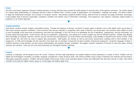### **Intent**

We offer a structured sequence of lessons, helping teachers to ensure that they have covered the skills required to meet the aims of the national curriculum. The content allows for a broad, deep understanding of computing and how it links to children's lives. It offers a range of opportunities for consolidation, challenge and variety. This allows children to apply the fundamental principles and concepts of computer science. They develop analytical problem-solving skills and learn to evaluate and apply information technology. It also enables them to become responsible, competent, confident and creative users of information technology. This progression map supports computing subject leaders in readiness for an Ofsted 'deep dive'.

### **Implementation**

Each lesson contains revision, analysis and problem-solving. Through the sequence of lessons, we intend to inspire pupils to develop a love of the digital world, see its place in their future and give teachers confidence. Cross-curricular links are also important in supporting other areas of learning. Our lesson plans and resources help children to build on prior knowledge at the same time as introducing new skills and challenges. In KS1, the focus is on developing the use of algorithms, programming and how technology can be used safely and purposefully. In KS2, lessons still focus on algorithms, programming and coding but in a more complex way and for different purposes. Children also develop their knowledge of computer networks, internet services and the safe and purposeful use of the internet and technology. Data Handling is featured more heavily in UKS2. Skills learnt through KS1 and LKS2 are used to support data presentation. Adult guides are offered, as well as end-of-unit assessments, enabling staff to feel confident in the progression of skills and knowledge and that outcomes have been met. An example of keywords has been included, showing the progression of specific language involved in children's learning so that teachers can also assess understanding and progress through vocabulary. We suggest a specific sequence of lessons for each year group, offering structure and narrative. These are not to be used exclusively but will support teachers' planning.

### **Impact**

Learning in computing will be enjoyed across the school. Teachers will have high expectations and quality evidence will be presented in a variety of forms. Children will use digital and technological vocabulary accurately, alongside a progression in their technical skills. They will be confident using a range of hardware and software and will produce high-quality purposeful products. Children will see the digital world as part of their world, extending beyond school, and understand that they have choices to make. They will be confident and respectful digital citizens going on to lead happy and healthy digital lives.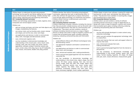| KS <sub>1</sub>                                                                                                                                                                                                                                                                                                                                                                                                   | LKS <sub>2</sub>                                                                                                                                                                                                                                                                                                                                                                                                                                                                                | UKS2        |                                                                                                                                                                                                                                                                                                                                                                                                                                                                                 |  |
|-------------------------------------------------------------------------------------------------------------------------------------------------------------------------------------------------------------------------------------------------------------------------------------------------------------------------------------------------------------------------------------------------------------------|-------------------------------------------------------------------------------------------------------------------------------------------------------------------------------------------------------------------------------------------------------------------------------------------------------------------------------------------------------------------------------------------------------------------------------------------------------------------------------------------------|-------------|---------------------------------------------------------------------------------------------------------------------------------------------------------------------------------------------------------------------------------------------------------------------------------------------------------------------------------------------------------------------------------------------------------------------------------------------------------------------------------|--|
| Children begin to understand the particular purposes<br>technology can be used for and that by adding text and images<br>you can communicate with technology. Children develop their<br>skills in typing, selecting tools and organising information.<br><b>KS1 Computing National Curriculum</b><br>Children use technology purposefully to create, organise, store,<br>manipulate and retrieve digital content. | Children develop their skills of formatting using keyboard<br>commands, organising their work to demonstrate effect. In<br>LKS2, they will have the opportunity to express themselves<br>more through digital technology, art, PowerPoint and posters.<br>Children should continue to demonstrate control when<br>operating tools as in KS1.<br><b>KS2 Computing National Curriculum</b><br>Children understand computer networks, including the internet;                                      |             | Children begin to look at new software, creating 3D models and<br>learning how to orbit, zoom and develop their editing skills<br>further. They become more confident in inserting links, images<br>and formatting text to create effect.<br><b>KS2 Computing National Curriculum</b><br>Children select, use and combine a variety of software<br>(including internet services) on a range of digital devices to<br>design and create a range of programs, systems and content |  |
| Children can:<br>add text strings text boxes and show and hide objects and<br>a.<br>images, manipulating the features;                                                                                                                                                                                                                                                                                            | how they can provide multiple services, such as the world wide<br>web, and the opportunities they offer for communication and<br>collaboration. They select, use and combine a variety of                                                                                                                                                                                                                                                                                                       |             | that accomplish given goals, including collecting, analysing,<br>evaluating and presenting data and information.<br>Children can:                                                                                                                                                                                                                                                                                                                                               |  |
| use various tools, such as brushes, pens, eraser, stamps<br>b.<br>and shapes, and set the size, colour and shape;                                                                                                                                                                                                                                                                                                 | software (including internet services) on a range of digital<br>devices to design and create a range of programs, systems and<br>content that accomplish given goals, including collecting,                                                                                                                                                                                                                                                                                                     | a           | use the skills already developed to create content using<br>unfamiliar technology;                                                                                                                                                                                                                                                                                                                                                                                              |  |
| use applications and devices in order to communicate<br>$\mathbb{C}$<br>ideas, work, messages and demonstrate control;                                                                                                                                                                                                                                                                                            | analysing, evaluating and presenting data and information.<br>Children can:                                                                                                                                                                                                                                                                                                                                                                                                                     | $\mathbf b$ | select, use and combine the appropriate technology tools<br>to create effect:                                                                                                                                                                                                                                                                                                                                                                                                   |  |
| save, retrieve and organise work;<br>d<br>use key vocabulary to demonstrate knowledge and<br>$\mathbf e$<br>understanding in this strand: paint, colour, brush, tools,                                                                                                                                                                                                                                            | create different effects with different technological tools,<br>a<br>demonstrating control;                                                                                                                                                                                                                                                                                                                                                                                                     | $\mathbb C$ | review and improve their own work and support others to<br>improve their work;                                                                                                                                                                                                                                                                                                                                                                                                  |  |
| settings, undo, redo, text, image, size, poster, launch,<br>application, software, window, minimise, restore, size,                                                                                                                                                                                                                                                                                               | $\mathbf{b}$<br>use appropriate keyboard commands to amend text on<br>a device:                                                                                                                                                                                                                                                                                                                                                                                                                 | d           | save, retrieve and evaluate their work.<br>making amendments;                                                                                                                                                                                                                                                                                                                                                                                                                   |  |
| move, screen, close, click, drag, log on, log off, keyboards,<br>keys, mouse, click, button, double click, drag, present.                                                                                                                                                                                                                                                                                         | $\mathbb{C}$<br>use applications and devices in order to communicate<br>ideas, work, and messages;                                                                                                                                                                                                                                                                                                                                                                                              | e           | insert a picture/text/graph/hyperlink from the internet or<br>personal file;                                                                                                                                                                                                                                                                                                                                                                                                    |  |
|                                                                                                                                                                                                                                                                                                                                                                                                                   | save, retrieve and evaluate work, making amendments;<br>d.<br>insert a picture/text/graph/hyperlink from the internet or<br>$\mathbf{e}$<br>a personal file;                                                                                                                                                                                                                                                                                                                                    |             | use key vocabulary to demonstrate knowledge and<br>understanding in this strand: window, layout, text, font,<br>colour, format, heading, hyperlink, 2D shape, 3D shape,<br>orbit, pan, zoom, eraser, dimension, measurement, guide.                                                                                                                                                                                                                                             |  |
|                                                                                                                                                                                                                                                                                                                                                                                                                   | use key vocabulary to demonstrate knowledge and<br>understanding in this strand: draw, object, shape, line, line<br>colour, fill colour, group, ungroup, font, size, text box,<br>format, image, wrap text, plan, link, image, object, link,<br>hyperlink, minimise, restore, size, move, screen, split,<br>create, organise, file, folder, close, exit, search, print,<br>password, screenshot, snipping tool, shift, undo, redo,<br>menu, dictionary, highlight, cursor, toolbar, spellcheck. |             |                                                                                                                                                                                                                                                                                                                                                                                                                                                                                 |  |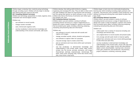| Children begin to develop their creativity using technology                                           | Children develop their editing skills further by cropping,                       | Children begin to look more into multimedia broadcasting,      |
|-------------------------------------------------------------------------------------------------------|----------------------------------------------------------------------------------|----------------------------------------------------------------|
| through recording sound. Children will also begin to develop                                          | organising and arranging film clips. They are able to share work                 | learning new skills including recording jingles, podcasts and  |
| their editing skills and control of the tools.                                                        | and offer feedback and ideas for improvement with animation                      | narration. They become more confident in post-production with  |
| <b>KS1 Computing National Curriculum</b>                                                              | and film, giving their opinion on which software to use. In LKS2,                | editing, trimming and refining their work based on plans they  |
| Children use technology purposefully to create, organise, store,                                      | children also look at the history of animation and reflect upon                  | have made.                                                     |
| manipulate and retrieve digital content.                                                              | the changes over time.                                                           | <b>KS2 Computing National Curriculum</b>                       |
| Children can:                                                                                         | <b>KS2 Computing National Curriculum</b>                                         | Children select, use and combine a variety of software         |
|                                                                                                       | Children select, use and combine a variety of software                           | (including internet services) on a range of digital devices to |
| use software to record sounds:<br>a                                                                   | (including internet services) on a range of digital devices to                   | design and create a range of programs, systems and content     |
| $\mathbf b$<br>change sounds recorded;                                                                | design and create a range of programs, systems and content                       | that accomplish given goals, including collecting, analysing,  |
| save, retrieve and organise work;<br>$\mathbb{C}$                                                     | that accomplish given goals, including collecting, analysing,                    | evaluating and presenting data and information.                |
| <sub>d</sub>                                                                                          | evaluating and presenting data and information.                                  | Children can:                                                  |
| use key vocabulary to demonstrate knowledge and<br>understanding in this strand: commands, add sound. | Children can:                                                                    |                                                                |
|                                                                                                       |                                                                                  | collect audio from a variety of resources including own        |
|                                                                                                       | use software to record, create and edit sounds and<br>a<br>capture still images; | recordings and internet clips;                                 |
|                                                                                                       |                                                                                  | use a digital device to record sounds and present audio;       |
|                                                                                                       | change recorded sounds, volume, duration and pauses;                             | trim, arrange and edit audio levels to improve quality;        |
|                                                                                                       | use software to capture video for a purpose;                                     | publish their animation and use a movie editing package        |
|                                                                                                       | crop and arrange clips to create a short film;                                   | to edit/refine and add titles:                                 |
|                                                                                                       | plan an animation and move items within each animation<br>$\epsilon$             | use key vocabulary to demonstrate knowledge and                |
|                                                                                                       | for playback;                                                                    | understanding in this strand: audio, record, edit, play stop,  |
|                                                                                                       |                                                                                  | skip, waveform, input, output, record, edit, play podcast,     |
|                                                                                                       | use key vocabulary to demonstrate knowledge and                                  | digital content, downloadable, backing track, voiceover,       |
|                                                                                                       | understanding in this strand: audio, sound, video, movie,                        | mute, gain, production, post-production, documentary,          |
|                                                                                                       | embed, link, file format, animate, animation, still image,                       | project, evaluation, screening, ceremony, upload.              |
|                                                                                                       | thaumatrope, zoetrope, zoopraxiscope, stereoscope, flip                          |                                                                |
|                                                                                                       | book, frame, onion skinning, loop, frame rate, record, stop,                     |                                                                |
|                                                                                                       | play, stop motion, stop frame.                                                   |                                                                |

**Multimedia Sound and Motion**

Multimedia Sound and Motion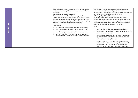| Data<br>Handling | Children begin to explore expressing information in tables,<br>sorting and organising information for others to be able to<br>understand.<br><b>KS2 Computing National Curriculum</b><br>Children select, use and combine a variety of software<br>(including internet services) on a range of digital devices to<br>design and create a range of programs, systems and content<br>that accomplish given goals, including collecting, analysing,<br>evaluating and presenting data and information.<br>Children can:<br>talk about the different ways data can be organised;<br>a<br>sort and organise information to use in other ways;<br>search a ready-made database to answer questions;<br>C<br>use key vocabulary to demonstrate knowledge and<br>understanding in this strand: Google Docs, insert, table. | Data Handling in UKS2 focuses on selecting the correct<br>method to display data and using software such as<br>spreadsheets. Children also learn how to check the accuracy of<br>data and compare data for a specific purpose.<br><b>KS2 Computing National Curriculum</b><br>Children select, use and combine a variety of software<br>(including internet services) on a range of digital devices to<br>design and create a range of programs, systems and content<br>that accomplish given goals, including collecting, analysing,<br>evaluating and presenting data and information.<br>Children can:<br>construct data on the most appropriate application;<br>know how to interpret data, including spotting inaccurate<br>data and comparing data;<br>use keyboard shortcuts and functions to input data on<br>spreadsheets and create formulas for spreadsheets;<br>add data to an existing database;<br>use key vocabulary to demonstrate knowledge and<br>understanding in this strand: Google Docs, insert, table,<br>spreadsheet, cell, row, column, formula/formulas,<br>calculate, format, edit, insert, ascending, descending. |
|------------------|--------------------------------------------------------------------------------------------------------------------------------------------------------------------------------------------------------------------------------------------------------------------------------------------------------------------------------------------------------------------------------------------------------------------------------------------------------------------------------------------------------------------------------------------------------------------------------------------------------------------------------------------------------------------------------------------------------------------------------------------------------------------------------------------------------------------|-----------------------------------------------------------------------------------------------------------------------------------------------------------------------------------------------------------------------------------------------------------------------------------------------------------------------------------------------------------------------------------------------------------------------------------------------------------------------------------------------------------------------------------------------------------------------------------------------------------------------------------------------------------------------------------------------------------------------------------------------------------------------------------------------------------------------------------------------------------------------------------------------------------------------------------------------------------------------------------------------------------------------------------------------------------------------------------------------------------------------------------------------|
|------------------|--------------------------------------------------------------------------------------------------------------------------------------------------------------------------------------------------------------------------------------------------------------------------------------------------------------------------------------------------------------------------------------------------------------------------------------------------------------------------------------------------------------------------------------------------------------------------------------------------------------------------------------------------------------------------------------------------------------------------------------------------------------------------------------------------------------------|-----------------------------------------------------------------------------------------------------------------------------------------------------------------------------------------------------------------------------------------------------------------------------------------------------------------------------------------------------------------------------------------------------------------------------------------------------------------------------------------------------------------------------------------------------------------------------------------------------------------------------------------------------------------------------------------------------------------------------------------------------------------------------------------------------------------------------------------------------------------------------------------------------------------------------------------------------------------------------------------------------------------------------------------------------------------------------------------------------------------------------------------------|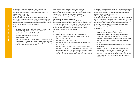| Our Lives<br><b>Technology</b> | Children begin to make links to how they use technology<br>outside of the classroom. They begin to think about the<br>benefits of using technology in their lives, making links to<br>learning about online safety.<br><b>KS1 Computing National Curriculum</b><br>Children recognise common uses of technology beyond<br>school. They use technology safely and respectfully, keeping<br>personal information private; they identify where to go for help<br>and support when they have concerns about content or contact<br>on the internet or other online technologies.<br>Children can:<br>recognise ways that technology is used in the home and<br>a.<br>community, e.g. taking photos, blogs, shopping;<br>b.<br>use links to websites to find information:<br>recognise age-appropriate websites;<br>$\mathbb{C}$<br>use safe search filters:<br>d.<br>use key vocabulary to demonstrate knowledge and<br>e<br>understanding in this strand: filter, Google, search engine,<br>image, keyboard, email, internet, subject, address,<br>communicate, sender, safe, secure. | Children refer to online safety rules when discussing<br>technology in their lives. They are able to navigate between<br>websites and use safe search terms on trusted search engines.<br>They become more confident in using email for<br>communication, including attaching and saving files from<br>emails.<br><b>KS2 Computing National Curriculum</b><br>Children understand computer networks, including the internet;<br>how they can provide multiple services, such as the world wide<br>web, and the opportunities they offer for communication and<br>collaboration. They use search technologies effectively,<br>appreciate how results are selected and ranked, and are<br>discerning in evaluating digital content.<br>Children can:<br>explain ways to communicate with others online;<br>describe the world wide web as the part of the internet<br>that contains websites;<br>add websites to a favourites list;<br>use search tools to find and use an appropriate website<br>and content;<br>use strategies to improve results when searching online;<br>use key vocabulary to demonstrate knowledge and<br>understanding in this strand: filter, Google, search engine,<br>image, keyboard, email, subject, address, communicate,<br>sender, safe, secure, internet, world wide web, social media. | Children can use safe search terms on trusted search engines,<br>and evaluate websites based on layout and information. They<br>become more confident in understanding Google rankings,<br>adverts and the reliability of websites.<br><b>KS2 Computing National Curriculum</b><br>Children understand computer networks, including the internet;<br>how they can provide multiple services, such as the world wide<br>web, and the opportunities they offer for communication and<br>collaboration. They use search technologies effectively,<br>appreciate how results are selected and ranked, and are<br>discerning in evaluating digital content.<br>Children can:<br>search for information using appropriate websites and<br>a<br>advanced search functions within Google;<br>use strategies to check the reliability of information<br>(cross-check with another source such as books);<br>talk about the way search results are selected and ranked;<br>$\mathbb{C}$<br>check the reliability of a website, including the photos<br>d.<br>on site:<br>tell you about copyright and acknowledge the sources of<br>e<br>information:<br>use key vocabulary to demonstrate knowledge and<br>understanding in this strand: world wide web, search,<br>search engine, advanced search, results, Google, browser,<br>terms of use, bias, authority, citation, plagiarism, source,<br>website, secure, https, site, domain, website, browser,<br>address bar. |
|--------------------------------|-----------------------------------------------------------------------------------------------------------------------------------------------------------------------------------------------------------------------------------------------------------------------------------------------------------------------------------------------------------------------------------------------------------------------------------------------------------------------------------------------------------------------------------------------------------------------------------------------------------------------------------------------------------------------------------------------------------------------------------------------------------------------------------------------------------------------------------------------------------------------------------------------------------------------------------------------------------------------------------------------------------------------------------------------------------------------------------|------------------------------------------------------------------------------------------------------------------------------------------------------------------------------------------------------------------------------------------------------------------------------------------------------------------------------------------------------------------------------------------------------------------------------------------------------------------------------------------------------------------------------------------------------------------------------------------------------------------------------------------------------------------------------------------------------------------------------------------------------------------------------------------------------------------------------------------------------------------------------------------------------------------------------------------------------------------------------------------------------------------------------------------------------------------------------------------------------------------------------------------------------------------------------------------------------------------------------------------------------------------------------------------------------------------------|-----------------------------------------------------------------------------------------------------------------------------------------------------------------------------------------------------------------------------------------------------------------------------------------------------------------------------------------------------------------------------------------------------------------------------------------------------------------------------------------------------------------------------------------------------------------------------------------------------------------------------------------------------------------------------------------------------------------------------------------------------------------------------------------------------------------------------------------------------------------------------------------------------------------------------------------------------------------------------------------------------------------------------------------------------------------------------------------------------------------------------------------------------------------------------------------------------------------------------------------------------------------------------------------------------------------------------------------------------------------------------------------------------------------------------------------------------------------|
|--------------------------------|-----------------------------------------------------------------------------------------------------------------------------------------------------------------------------------------------------------------------------------------------------------------------------------------------------------------------------------------------------------------------------------------------------------------------------------------------------------------------------------------------------------------------------------------------------------------------------------------------------------------------------------------------------------------------------------------------------------------------------------------------------------------------------------------------------------------------------------------------------------------------------------------------------------------------------------------------------------------------------------------------------------------------------------------------------------------------------------|------------------------------------------------------------------------------------------------------------------------------------------------------------------------------------------------------------------------------------------------------------------------------------------------------------------------------------------------------------------------------------------------------------------------------------------------------------------------------------------------------------------------------------------------------------------------------------------------------------------------------------------------------------------------------------------------------------------------------------------------------------------------------------------------------------------------------------------------------------------------------------------------------------------------------------------------------------------------------------------------------------------------------------------------------------------------------------------------------------------------------------------------------------------------------------------------------------------------------------------------------------------------------------------------------------------------|-----------------------------------------------------------------------------------------------------------------------------------------------------------------------------------------------------------------------------------------------------------------------------------------------------------------------------------------------------------------------------------------------------------------------------------------------------------------------------------------------------------------------------------------------------------------------------------------------------------------------------------------------------------------------------------------------------------------------------------------------------------------------------------------------------------------------------------------------------------------------------------------------------------------------------------------------------------------------------------------------------------------------------------------------------------------------------------------------------------------------------------------------------------------------------------------------------------------------------------------------------------------------------------------------------------------------------------------------------------------------------------------------------------------------------------------------------------------|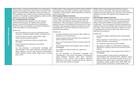|              | Children begin to understand their influence on technology by                              |    | Children build on their programming skills by solving problems |    | Children build on their programming skills by using new        |
|--------------|--------------------------------------------------------------------------------------------|----|----------------------------------------------------------------|----|----------------------------------------------------------------|
|              | developing their programming skills to determine output. They                              |    | and programming commands to achieve a specific outcome.        |    | systems such as a flowchart. They continue to break down       |
|              | begin to understand that an algorithm is a series of steps for                             |    | They begin to write programs, explain algorithms and identify  |    | problems and create algorithms to solve them. They are able to |
|              | solving problems and a code is a series of steps that machines                             |    | errors in their work.                                          |    | explain the outcome of an algorithm with confidence and        |
|              | can execute. They begin to explore debugging, predicting when                              |    | <b>KS2 Computing National Curriculum</b>                       |    | accuracy.                                                      |
|              | codes may not work and changing them.                                                      |    | Children design, write and debug programs that accomplish      |    | <b>KS2 Computing National Curriculum</b>                       |
|              | <b>KS1 Computing National Curriculum</b>                                                   |    | specific goals, including controlling or simulating physical   |    | Children design, write and debug programs that accomplish      |
|              | Children understand what algorithms are, how they are                                      |    | systems; they solve problems by decomposing them into          |    | specific goals, including controlling or simulating physical   |
|              | implemented as programs on digital devices, and that                                       |    | smaller parts. They use sequence, selection, and repetition in |    | systems; they solve problems by decomposing them into          |
|              | programs execute by following precise and unambiguous                                      |    | programs and work with variables and various forms of input    |    | smaller parts. They use sequence, selection, and repetition in |
|              | instructions. They create, debug and use logical reasoning to                              |    | and output. They use logical reasoning to explain how some     |    | programs and work with variables and various forms of input    |
|              | predict the behaviour of simple programs.                                                  |    | simple algorithms work and to detect and correct errors in     |    | and output. They use logical reasoning to explain how some     |
|              | Children can:                                                                              |    | algorithms and programs.                                       |    | simple algorithms work and to detect and correct errors in     |
| a.           | give commands one at a time to control direction and                                       |    | Children can:                                                  |    | algorithms and programs.                                       |
|              | movement, including straight, forwards, backwards, turn;                                   | a. | use logical thinking to solve an open-ended problem by         |    | Children can:                                                  |
| b.           |                                                                                            |    | breaking it up into smaller parts;                             | a  | use external triggers and infinite loops to demonstrate        |
|              | control the nature of events: repeat, loops, single<br>events and add and delete features: |    | write a program, putting commands into a sequence to           |    | control;                                                       |
|              |                                                                                            |    | achieve a specific outcome;                                    | b. | follow a sequence of instructions, e.g. in a flowchart and     |
| $\mathbb{C}$ | give a set of instructions to follow and predict what                                      |    |                                                                |    | modify a flowchart using symbols;                              |
|              | will happen;                                                                               | C  | give a set of instructions to follow and predict what will     |    |                                                                |
| -d           | improve/change their sequence of commands                                                  |    | happen;                                                        | c  | use conditional statements and edit variables;                 |
|              | by debugging;                                                                              |    | keep testing a program and recognise when it needs to          |    | decompose a problem into smaller parts to design an            |
| $\epsilon$   | use key vocabulary to demonstrate knowledge and                                            |    | be debugged;                                                   |    | algorithm for a specific outcome and use this to write a       |
|              | understanding in this strand: algorithm, instruction, order,                               |    | use variables to create an effect, e.g. repetition, if,        |    | program;                                                       |
|              | debug, program, turn, left, right, clockwise, anticlockwise,                               |    | when, loop;                                                    |    | keep testing a program and recognise when it needs to          |
|              | blocks, sequence, project, repeat, repeat forever, invisible,                              |    | use key vocabulary to demonstrate knowledge and                |    | be debugged;                                                   |
|              | grow, shrink.                                                                              |    | understanding in this strand: decompose, decomposing,          |    | use key vocabulary to demonstrate knowledge and                |
|              |                                                                                            |    | logical sequence, flowchart, sprite, block, command,           |    | understanding in this strand: flowchart, algorithm, control,   |
|              |                                                                                            |    | algorithm, answer, correct, errors, program, algorithm,        |    | output, symbol, start, stop, delay, process, decision, loop,   |
|              |                                                                                            |    | instructions, commands, forward (fd), left (lt), right (rt),   |    | backdrop, script, block, repeat, commentary, sequence,         |
|              |                                                                                            |    | move, turn, clear screen (cs), variable.                       |    | consequence, debug, program, Kodu, world, object, tool         |
|              |                                                                                            |    |                                                                |    | palette, program environment, smooth, flatten, raise.          |

**Coding and Programming**

**Coding and Programming**